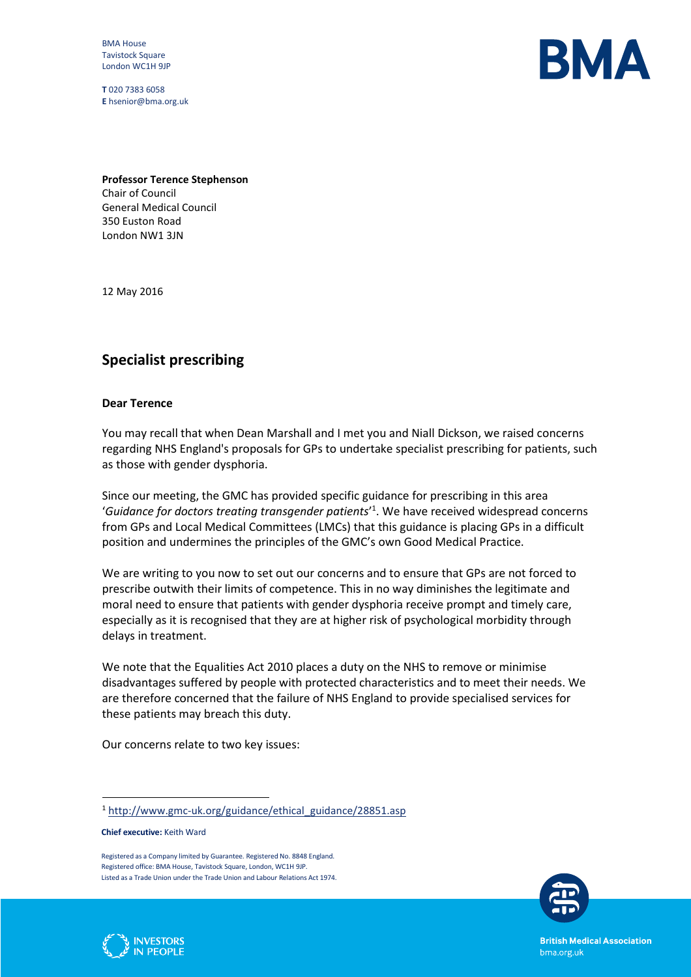BMA House Tavistock Square London WC1H 9JP

**T** 020 7383 6058 **E** hsenior@bma.org.uk



**Professor Terence Stephenson** Chair of Council General Medical Council 350 Euston Road London NW1 3JN

12 May 2016

## **Specialist prescribing**

## **Dear Terence**

You may recall that when Dean Marshall and I met you and Niall Dickson, we raised concerns regarding NHS England's proposals for GPs to undertake specialist prescribing for patients, such as those with gender dysphoria.

Since our meeting, the GMC has provided specific guidance for prescribing in this area '*Guidance for doctors treating transgender patients*' 1 . We have received widespread concerns from GPs and Local Medical Committees (LMCs) that this guidance is placing GPs in a difficult position and undermines the principles of the GMC's own Good Medical Practice.

We are writing to you now to set out our concerns and to ensure that GPs are not forced to prescribe outwith their limits of competence. This in no way diminishes the legitimate and moral need to ensure that patients with gender dysphoria receive prompt and timely care, especially as it is recognised that they are at higher risk of psychological morbidity through delays in treatment.

We note that the Equalities Act 2010 places a duty on the NHS to remove or minimise disadvantages suffered by people with protected characteristics and to meet their needs. We are therefore concerned that the failure of NHS England to provide specialised services for these patients may breach this duty.

Our concerns relate to two key issues:

**Chief executive:** Keith Ward

 $\ddot{\phantom{a}}$ 



**PEOPLE** 

**British Medical Association** bma.org.uk

<sup>1</sup> [http://www.gmc-uk.org/guidance/ethical\\_guidance/28851.asp](http://www.gmc-uk.org/guidance/ethical_guidance/28851.asp)

Registered as a Company limited by Guarantee. Registered No. 8848 England. Registered office: BMA House, Tavistock Square, London, WC1H 9JP. Listed as a Trade Union under the Trade Union and Labour Relations Act 1974.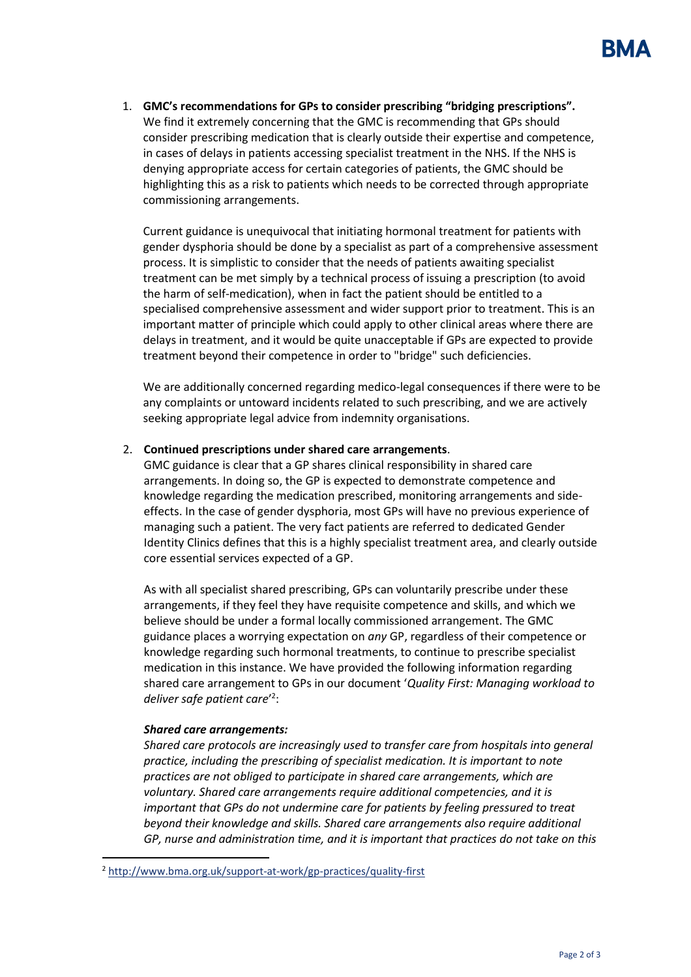1. **GMC's recommendations for GPs to consider prescribing "bridging prescriptions".** We find it extremely concerning that the GMC is recommending that GPs should consider prescribing medication that is clearly outside their expertise and competence, in cases of delays in patients accessing specialist treatment in the NHS. If the NHS is denying appropriate access for certain categories of patients, the GMC should be highlighting this as a risk to patients which needs to be corrected through appropriate commissioning arrangements.

Current guidance is unequivocal that initiating hormonal treatment for patients with gender dysphoria should be done by a specialist as part of a comprehensive assessment process. It is simplistic to consider that the needs of patients awaiting specialist treatment can be met simply by a technical process of issuing a prescription (to avoid the harm of self-medication), when in fact the patient should be entitled to a specialised comprehensive assessment and wider support prior to treatment. This is an important matter of principle which could apply to other clinical areas where there are delays in treatment, and it would be quite unacceptable if GPs are expected to provide treatment beyond their competence in order to "bridge" such deficiencies.

We are additionally concerned regarding medico-legal consequences if there were to be any complaints or untoward incidents related to such prescribing, and we are actively seeking appropriate legal advice from indemnity organisations.

## 2. **Continued prescriptions under shared care arrangements**.

GMC guidance is clear that a GP shares clinical responsibility in shared care arrangements. In doing so, the GP is expected to demonstrate competence and knowledge regarding the medication prescribed, monitoring arrangements and sideeffects. In the case of gender dysphoria, most GPs will have no previous experience of managing such a patient. The very fact patients are referred to dedicated Gender Identity Clinics defines that this is a highly specialist treatment area, and clearly outside core essential services expected of a GP.

As with all specialist shared prescribing, GPs can voluntarily prescribe under these arrangements, if they feel they have requisite competence and skills, and which we believe should be under a formal locally commissioned arrangement. The GMC guidance places a worrying expectation on *any* GP, regardless of their competence or knowledge regarding such hormonal treatments, to continue to prescribe specialist medication in this instance. We have provided the following information regarding shared care arrangement to GPs in our document '*Quality First: Managing workload to deliver safe patient care*' 2 :

## *Shared care arrangements:*

 $\ddot{\phantom{a}}$ 

*Shared care protocols are increasingly used to transfer care from hospitals into general practice, including the prescribing of specialist medication. It is important to note practices are not obliged to participate in shared care arrangements, which are voluntary. Shared care arrangements require additional competencies, and it is important that GPs do not undermine care for patients by feeling pressured to treat beyond their knowledge and skills. Shared care arrangements also require additional GP, nurse and administration time, and it is important that practices do not take on this* 

<sup>2</sup> <http://www.bma.org.uk/support-at-work/gp-practices/quality-first>